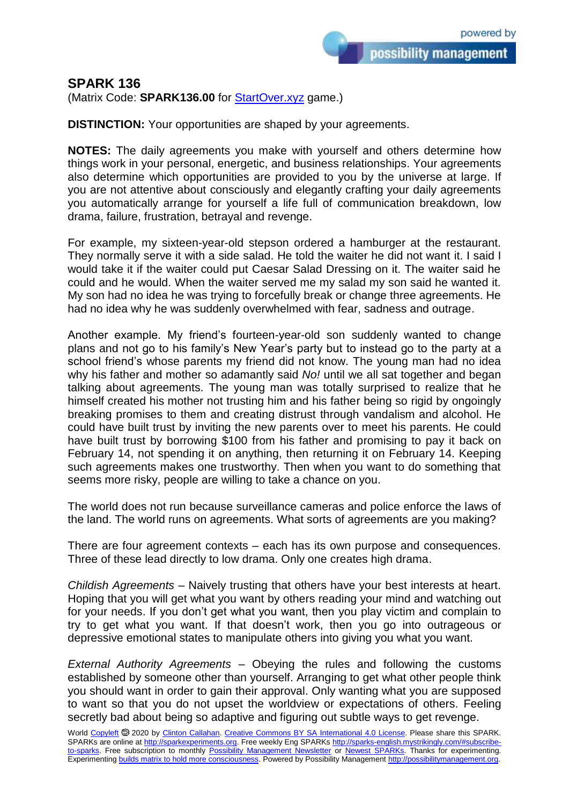possibility management

(Matrix Code: **SPARK136.00** for **StartOver.xyz** game.)

**DISTINCTION:** Your opportunities are shaped by your agreements.

**NOTES:** The daily agreements you make with yourself and others determine how things work in your personal, energetic, and business relationships. Your agreements also determine which opportunities are provided to you by the universe at large. If you are not attentive about consciously and elegantly crafting your daily agreements you automatically arrange for yourself a life full of communication breakdown, low drama, failure, frustration, betrayal and revenge.

For example, my sixteen-year-old stepson ordered a hamburger at the restaurant. They normally serve it with a side salad. He told the waiter he did not want it. I said I would take it if the waiter could put Caesar Salad Dressing on it. The waiter said he could and he would. When the waiter served me my salad my son said he wanted it. My son had no idea he was trying to forcefully break or change three agreements. He had no idea why he was suddenly overwhelmed with fear, sadness and outrage.

Another example. My friend's fourteen-year-old son suddenly wanted to change plans and not go to his family's New Year's party but to instead go to the party at a school friend's whose parents my friend did not know. The young man had no idea why his father and mother so adamantly said *No!* until we all sat together and began talking about agreements. The young man was totally surprised to realize that he himself created his mother not trusting him and his father being so rigid by ongoingly breaking promises to them and creating distrust through vandalism and alcohol. He could have built trust by inviting the new parents over to meet his parents. He could have built trust by borrowing \$100 from his father and promising to pay it back on February 14, not spending it on anything, then returning it on February 14. Keeping such agreements makes one trustworthy. Then when you want to do something that seems more risky, people are willing to take a chance on you.

The world does not run because surveillance cameras and police enforce the laws of the land. The world runs on agreements. What sorts of agreements are you making?

There are four agreement contexts – each has its own purpose and consequences. Three of these lead directly to low drama. Only one creates high drama.

*Childish Agreements* – Naively trusting that others have your best interests at heart. Hoping that you will get what you want by others reading your mind and watching out for your needs. If you don't get what you want, then you play victim and complain to try to get what you want. If that doesn't work, then you go into outrageous or depressive emotional states to manipulate others into giving you what you want.

*External Authority Agreements* – Obeying the rules and following the customs established by someone other than yourself. Arranging to get what other people think you should want in order to gain their approval. Only wanting what you are supposed to want so that you do not upset the worldview or expectations of others. Feeling secretly bad about being so adaptive and figuring out subtle ways to get revenge.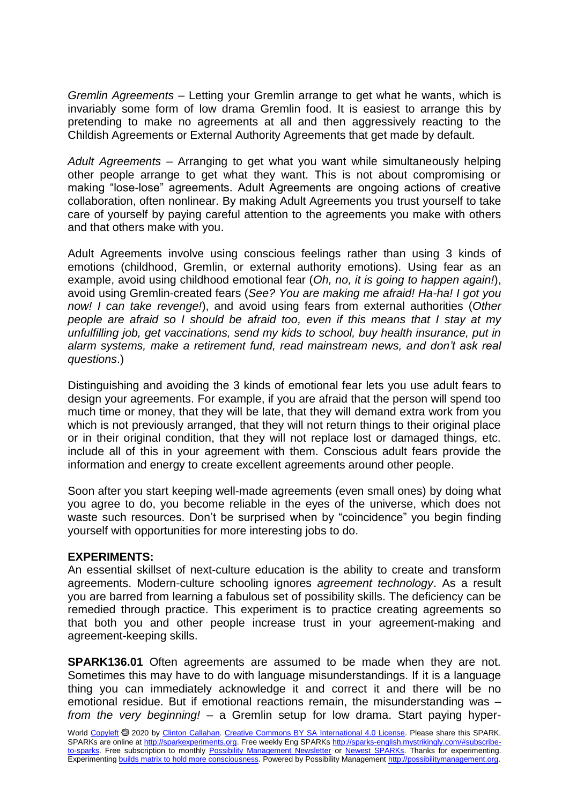*Gremlin Agreements* – Letting your Gremlin arrange to get what he wants, which is invariably some form of low drama Gremlin food. It is easiest to arrange this by pretending to make no agreements at all and then aggressively reacting to the Childish Agreements or External Authority Agreements that get made by default.

*Adult Agreements* – Arranging to get what you want while simultaneously helping other people arrange to get what they want. This is not about compromising or making "lose-lose" agreements. Adult Agreements are ongoing actions of creative collaboration, often nonlinear. By making Adult Agreements you trust yourself to take care of yourself by paying careful attention to the agreements you make with others and that others make with you.

Adult Agreements involve using conscious feelings rather than using 3 kinds of emotions (childhood, Gremlin, or external authority emotions). Using fear as an example, avoid using childhood emotional fear (*Oh, no, it is going to happen again!*), avoid using Gremlin-created fears (*See? You are making me afraid! Ha-ha! I got you now! I can take revenge!*), and avoid using fears from external authorities (*Other people are afraid so I should be afraid too, even if this means that I stay at my unfulfilling job, get vaccinations, send my kids to school, buy health insurance, put in alarm systems, make a retirement fund, read mainstream news, and don't ask real questions*.)

Distinguishing and avoiding the 3 kinds of emotional fear lets you use adult fears to design your agreements. For example, if you are afraid that the person will spend too much time or money, that they will be late, that they will demand extra work from you which is not previously arranged, that they will not return things to their original place or in their original condition, that they will not replace lost or damaged things, etc. include all of this in your agreement with them. Conscious adult fears provide the information and energy to create excellent agreements around other people.

Soon after you start keeping well-made agreements (even small ones) by doing what you agree to do, you become reliable in the eyes of the universe, which does not waste such resources. Don't be surprised when by "coincidence" you begin finding yourself with opportunities for more interesting jobs to do.

## **EXPERIMENTS:**

An essential skillset of next-culture education is the ability to create and transform agreements. Modern-culture schooling ignores *agreement technology*. As a result you are barred from learning a fabulous set of possibility skills. The deficiency can be remedied through practice. This experiment is to practice creating agreements so that both you and other people increase trust in your agreement-making and agreement-keeping skills.

**SPARK136.01** Often agreements are assumed to be made when they are not. Sometimes this may have to do with language misunderstandings. If it is a language thing you can immediately acknowledge it and correct it and there will be no emotional residue. But if emotional reactions remain, the misunderstanding was – *from the very beginning!* – a Gremlin setup for low drama. Start paying hyper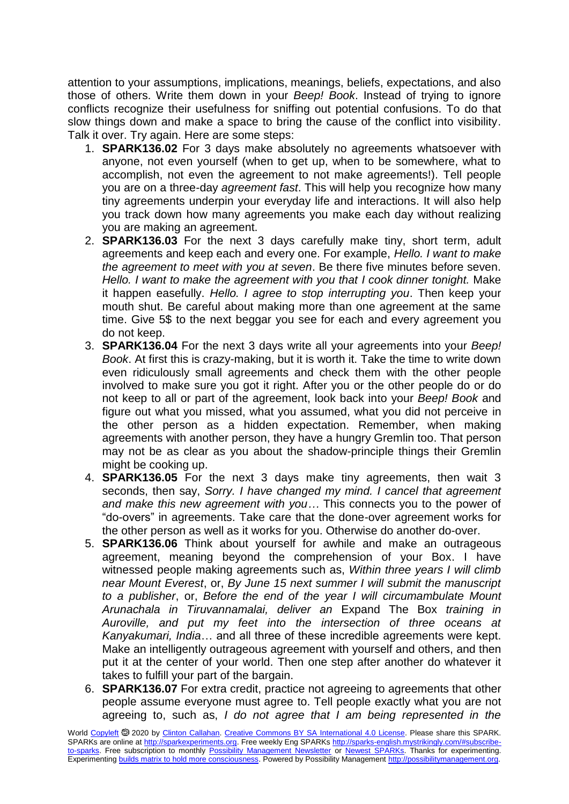attention to your assumptions, implications, meanings, beliefs, expectations, and also those of others. Write them down in your *Beep! Book*. Instead of trying to ignore conflicts recognize their usefulness for sniffing out potential confusions. To do that slow things down and make a space to bring the cause of the conflict into visibility. Talk it over. Try again. Here are some steps:

- 1. **SPARK136.02** For 3 days make absolutely no agreements whatsoever with anyone, not even yourself (when to get up, when to be somewhere, what to accomplish, not even the agreement to not make agreements!). Tell people you are on a three-day *agreement fast*. This will help you recognize how many tiny agreements underpin your everyday life and interactions. It will also help you track down how many agreements you make each day without realizing you are making an agreement.
- 2. **SPARK136.03** For the next 3 days carefully make tiny, short term, adult agreements and keep each and every one. For example, *Hello. I want to make the agreement to meet with you at seven*. Be there five minutes before seven. *Hello. I want to make the agreement with you that I cook dinner tonight.* Make it happen easefully. *Hello. I agree to stop interrupting you*. Then keep your mouth shut. Be careful about making more than one agreement at the same time. Give 5\$ to the next beggar you see for each and every agreement you do not keep.
- 3. **SPARK136.04** For the next 3 days write all your agreements into your *Beep! Book*. At first this is crazy-making, but it is worth it. Take the time to write down even ridiculously small agreements and check them with the other people involved to make sure you got it right. After you or the other people do or do not keep to all or part of the agreement, look back into your *Beep! Book* and figure out what you missed, what you assumed, what you did not perceive in the other person as a hidden expectation. Remember, when making agreements with another person, they have a hungry Gremlin too. That person may not be as clear as you about the shadow-principle things their Gremlin might be cooking up.
- 4. **SPARK136.05** For the next 3 days make tiny agreements, then wait 3 seconds, then say, *Sorry. I have changed my mind. I cancel that agreement and make this new agreement with you…* This connects you to the power of "do-overs" in agreements. Take care that the done-over agreement works for the other person as well as it works for you. Otherwise do another do-over.
- 5. **SPARK136.06** Think about yourself for awhile and make an outrageous agreement, meaning beyond the comprehension of your Box. I have witnessed people making agreements such as, *Within three years I will climb near Mount Everest*, or, *By June 15 next summer I will submit the manuscript to a publisher*, or, *Before the end of the year I will circumambulate Mount Arunachala in Tiruvannamalai, deliver an* Expand The Box *training in Auroville, and put my feet into the intersection of three oceans at Kanyakumari, India*… and all three of these incredible agreements were kept. Make an intelligently outrageous agreement with yourself and others, and then put it at the center of your world. Then one step after another do whatever it takes to fulfill your part of the bargain.
- 6. **SPARK136.07** For extra credit, practice not agreeing to agreements that other people assume everyone must agree to. Tell people exactly what you are not agreeing to, such as, *I do not agree that I am being represented in the*